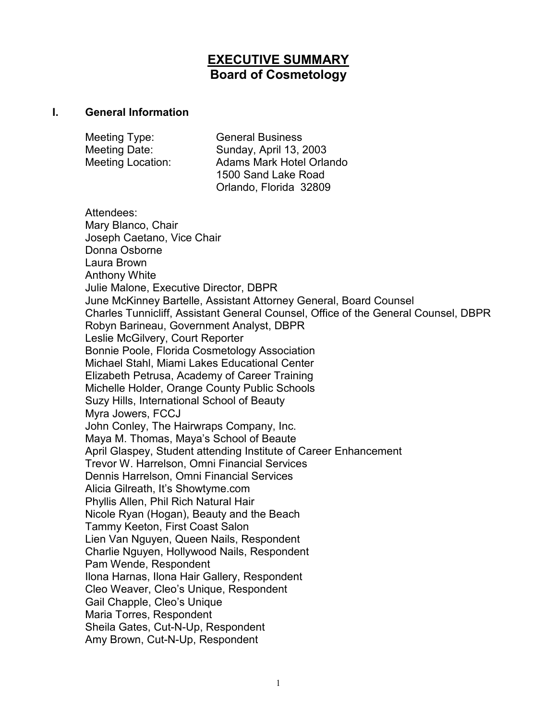# **EXECUTIVE SUMMARY Board of Cosmetology**

#### **I. General Information**

| Meeting Type:            | <b>General Business</b>  |
|--------------------------|--------------------------|
| Meeting Date:            | Sunday, April 13, 2003   |
| <b>Meeting Location:</b> | Adams Mark Hotel Orlando |
|                          | 1500 Sand Lake Road      |
|                          | Orlando, Florida 32809   |

Attendees: Mary Blanco, Chair Joseph Caetano, Vice Chair Donna Osborne Laura Brown Anthony White Julie Malone, Executive Director, DBPR June McKinney Bartelle, Assistant Attorney General, Board Counsel Charles Tunnicliff, Assistant General Counsel, Office of the General Counsel, DBPR Robyn Barineau, Government Analyst, DBPR Leslie McGilvery, Court Reporter Bonnie Poole, Florida Cosmetology Association Michael Stahl, Miami Lakes Educational Center Elizabeth Petrusa, Academy of Career Training Michelle Holder, Orange County Public Schools Suzy Hills, International School of Beauty Myra Jowers, FCCJ John Conley, The Hairwraps Company, Inc. Maya M. Thomas, Maya's School of Beaute April Glaspey, Student attending Institute of Career Enhancement Trevor W. Harrelson, Omni Financial Services Dennis Harrelson, Omni Financial Services Alicia Gilreath, It's Showtyme.com Phyllis Allen, Phil Rich Natural Hair Nicole Ryan (Hogan), Beauty and the Beach Tammy Keeton, First Coast Salon Lien Van Nguyen, Queen Nails, Respondent Charlie Nguyen, Hollywood Nails, Respondent Pam Wende, Respondent Ilona Harnas, Ilona Hair Gallery, Respondent Cleo Weaver, Cleo's Unique, Respondent Gail Chapple, Cleo's Unique Maria Torres, Respondent Sheila Gates, Cut-N-Up, Respondent Amy Brown, Cut-N-Up, Respondent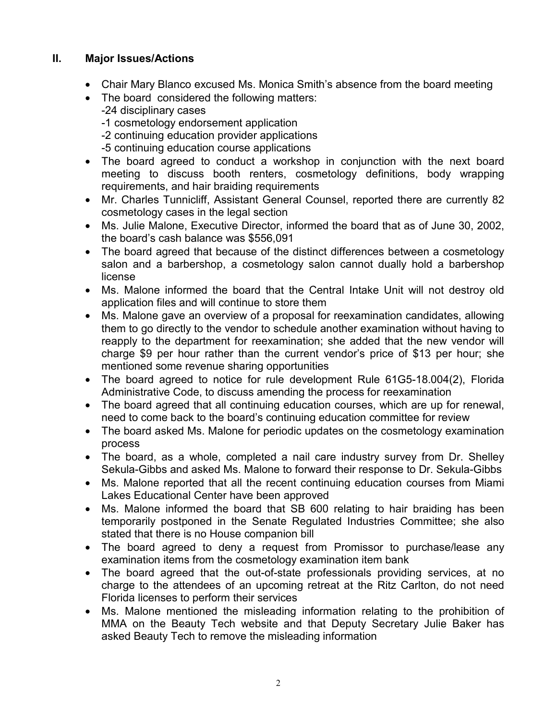## **II. Major Issues/Actions**

- Chair Mary Blanco excused Ms. Monica Smith's absence from the board meeting
- The board considered the following matters: -24 disciplinary cases -1 cosmetology endorsement application -2 continuing education provider applications -5 continuing education course applications
- The board agreed to conduct a workshop in conjunction with the next board meeting to discuss booth renters, cosmetology definitions, body wrapping requirements, and hair braiding requirements
- Mr. Charles Tunnicliff, Assistant General Counsel, reported there are currently 82 cosmetology cases in the legal section
- Ms. Julie Malone, Executive Director, informed the board that as of June 30, 2002, the board's cash balance was \$556,091
- The board agreed that because of the distinct differences between a cosmetology salon and a barbershop, a cosmetology salon cannot dually hold a barbershop license
- Ms. Malone informed the board that the Central Intake Unit will not destroy old application files and will continue to store them
- Ms. Malone gave an overview of a proposal for reexamination candidates, allowing them to go directly to the vendor to schedule another examination without having to reapply to the department for reexamination; she added that the new vendor will charge \$9 per hour rather than the current vendor's price of \$13 per hour; she mentioned some revenue sharing opportunities
- The board agreed to notice for rule development Rule 61G5-18.004(2), Florida Administrative Code, to discuss amending the process for reexamination
- The board agreed that all continuing education courses, which are up for renewal, need to come back to the board's continuing education committee for review
- The board asked Ms. Malone for periodic updates on the cosmetology examination process
- The board, as a whole, completed a nail care industry survey from Dr. Shelley Sekula-Gibbs and asked Ms. Malone to forward their response to Dr. Sekula-Gibbs
- Ms. Malone reported that all the recent continuing education courses from Miami Lakes Educational Center have been approved
- Ms. Malone informed the board that SB 600 relating to hair braiding has been temporarily postponed in the Senate Regulated Industries Committee; she also stated that there is no House companion bill
- The board agreed to deny a request from Promissor to purchase/lease any examination items from the cosmetology examination item bank
- The board agreed that the out-of-state professionals providing services, at no charge to the attendees of an upcoming retreat at the Ritz Carlton, do not need Florida licenses to perform their services
- Ms. Malone mentioned the misleading information relating to the prohibition of MMA on the Beauty Tech website and that Deputy Secretary Julie Baker has asked Beauty Tech to remove the misleading information